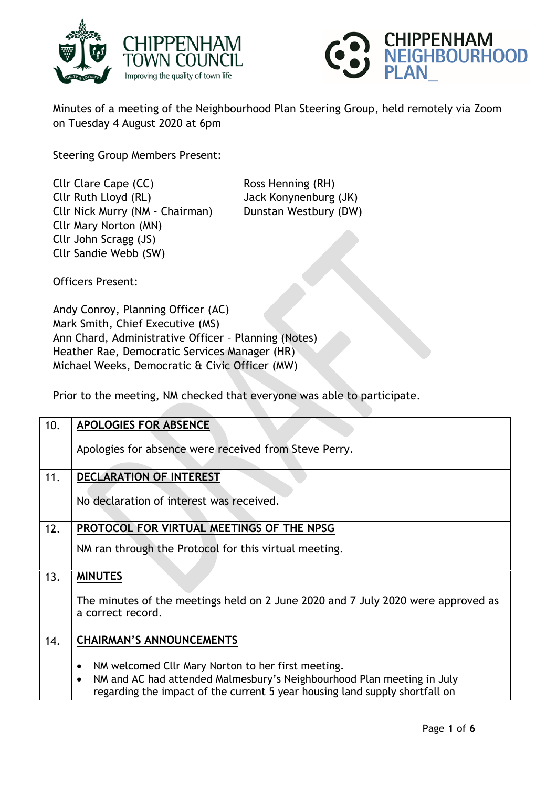



Minutes of a meeting of the Neighbourhood Plan Steering Group, held remotely via Zoom on Tuesday 4 August 2020 at 6pm

Steering Group Members Present:

Cllr Clare Cape (CC) Ross Henning (RH) Cllr Ruth Lloyd (RL) Jack Konynenburg (JK) Cllr Nick Murry (NM - Chairman) Dunstan Westbury (DW) Cllr Mary Norton (MN) Cllr John Scragg (JS) Cllr Sandie Webb (SW)

Officers Present:

Andy Conroy, Planning Officer (AC) Mark Smith, Chief Executive (MS) Ann Chard, Administrative Officer – Planning (Notes) Heather Rae, Democratic Services Manager (HR) Michael Weeks, Democratic & Civic Officer (MW)

Prior to the meeting, NM checked that everyone was able to participate.

| 10. | <b>APOLOGIES FOR ABSENCE</b>                                                                                                                                                                                                          |
|-----|---------------------------------------------------------------------------------------------------------------------------------------------------------------------------------------------------------------------------------------|
|     | Apologies for absence were received from Steve Perry.                                                                                                                                                                                 |
| 11. | DECLARATION OF INTEREST                                                                                                                                                                                                               |
|     | No declaration of interest was received.                                                                                                                                                                                              |
| 12. | PROTOCOL FOR VIRTUAL MEETINGS OF THE NPSG                                                                                                                                                                                             |
|     | NM ran through the Protocol for this virtual meeting.                                                                                                                                                                                 |
| 13. | <b>MINUTES</b>                                                                                                                                                                                                                        |
|     | The minutes of the meetings held on 2 June 2020 and 7 July 2020 were approved as<br>a correct record.                                                                                                                                 |
| 14. | <b>CHAIRMAN'S ANNOUNCEMENTS</b>                                                                                                                                                                                                       |
|     | NM welcomed Cllr Mary Norton to her first meeting.<br>$\bullet$<br>NM and AC had attended Malmesbury's Neighbourhood Plan meeting in July<br>$\bullet$<br>regarding the impact of the current 5 year housing land supply shortfall on |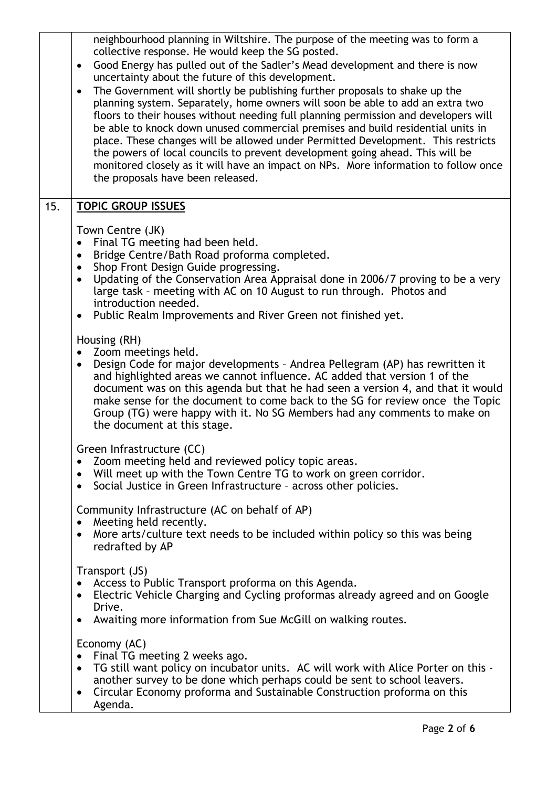|     | neighbourhood planning in Wiltshire. The purpose of the meeting was to form a<br>collective response. He would keep the SG posted.<br>Good Energy has pulled out of the Sadler's Mead development and there is now<br>$\bullet$<br>uncertainty about the future of this development.<br>The Government will shortly be publishing further proposals to shake up the<br>$\bullet$<br>planning system. Separately, home owners will soon be able to add an extra two<br>floors to their houses without needing full planning permission and developers will<br>be able to knock down unused commercial premises and build residential units in<br>place. These changes will be allowed under Permitted Development. This restricts<br>the powers of local councils to prevent development going ahead. This will be<br>monitored closely as it will have an impact on NPs. More information to follow once<br>the proposals have been released. |
|-----|-----------------------------------------------------------------------------------------------------------------------------------------------------------------------------------------------------------------------------------------------------------------------------------------------------------------------------------------------------------------------------------------------------------------------------------------------------------------------------------------------------------------------------------------------------------------------------------------------------------------------------------------------------------------------------------------------------------------------------------------------------------------------------------------------------------------------------------------------------------------------------------------------------------------------------------------------|
| 15. | <b>TOPIC GROUP ISSUES</b>                                                                                                                                                                                                                                                                                                                                                                                                                                                                                                                                                                                                                                                                                                                                                                                                                                                                                                                     |
|     | Town Centre (JK)<br>Final TG meeting had been held.<br>$\bullet$<br>Bridge Centre/Bath Road proforma completed.<br>$\bullet$<br>Shop Front Design Guide progressing.<br>Updating of the Conservation Area Appraisal done in 2006/7 proving to be a very<br>$\bullet$<br>large task - meeting with AC on 10 August to run through. Photos and<br>introduction needed.<br>Public Realm Improvements and River Green not finished yet.<br>$\bullet$                                                                                                                                                                                                                                                                                                                                                                                                                                                                                              |
|     | Housing (RH)<br>Zoom meetings held.<br>$\bullet$<br>Design Code for major developments - Andrea Pellegram (AP) has rewritten it<br>$\bullet$<br>and highlighted areas we cannot influence. AC added that version 1 of the<br>document was on this agenda but that he had seen a version 4, and that it would<br>make sense for the document to come back to the SG for review once the Topic<br>Group (TG) were happy with it. No SG Members had any comments to make on<br>the document at this stage.                                                                                                                                                                                                                                                                                                                                                                                                                                       |
|     | Green Infrastructure (CC)<br>Zoom meeting held and reviewed policy topic areas.<br>$\bullet$<br>Will meet up with the Town Centre TG to work on green corridor.<br>$\bullet$<br>Social Justice in Green Infrastructure - across other policies.<br>$\bullet$                                                                                                                                                                                                                                                                                                                                                                                                                                                                                                                                                                                                                                                                                  |
|     | Community Infrastructure (AC on behalf of AP)<br>Meeting held recently.<br>$\bullet$<br>More arts/culture text needs to be included within policy so this was being<br>$\bullet$<br>redrafted by AP                                                                                                                                                                                                                                                                                                                                                                                                                                                                                                                                                                                                                                                                                                                                           |
|     | Transport (JS)<br>Access to Public Transport proforma on this Agenda.<br>Electric Vehicle Charging and Cycling proformas already agreed and on Google<br>$\bullet$<br>Drive.<br>Awaiting more information from Sue McGill on walking routes.<br>$\bullet$                                                                                                                                                                                                                                                                                                                                                                                                                                                                                                                                                                                                                                                                                     |
|     | Economy (AC)<br>Final TG meeting 2 weeks ago.<br>$\bullet$<br>TG still want policy on incubator units. AC will work with Alice Porter on this -<br>$\bullet$<br>another survey to be done which perhaps could be sent to school leavers.<br>Circular Economy proforma and Sustainable Construction proforma on this<br>Agenda.                                                                                                                                                                                                                                                                                                                                                                                                                                                                                                                                                                                                                |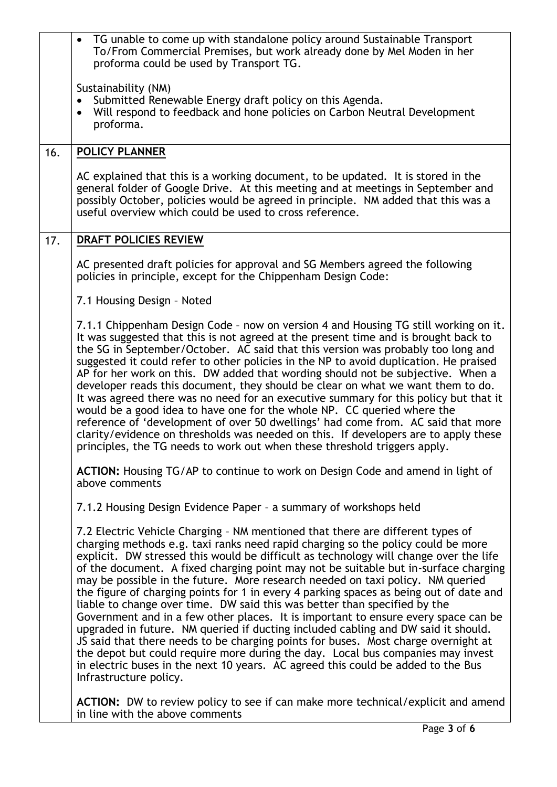|     | TG unable to come up with standalone policy around Sustainable Transport<br>$\bullet$<br>To/From Commercial Premises, but work already done by Mel Moden in her<br>proforma could be used by Transport TG.                                                                                                                                                                                                                                                                                                                                                                                                                                                                                                                                                                                                                                                                                                                                                                                                                                                                    |
|-----|-------------------------------------------------------------------------------------------------------------------------------------------------------------------------------------------------------------------------------------------------------------------------------------------------------------------------------------------------------------------------------------------------------------------------------------------------------------------------------------------------------------------------------------------------------------------------------------------------------------------------------------------------------------------------------------------------------------------------------------------------------------------------------------------------------------------------------------------------------------------------------------------------------------------------------------------------------------------------------------------------------------------------------------------------------------------------------|
|     | Sustainability (NM)<br>Submitted Renewable Energy draft policy on this Agenda.<br>Will respond to feedback and hone policies on Carbon Neutral Development<br>$\bullet$<br>proforma.                                                                                                                                                                                                                                                                                                                                                                                                                                                                                                                                                                                                                                                                                                                                                                                                                                                                                          |
| 16. | <b>POLICY PLANNER</b>                                                                                                                                                                                                                                                                                                                                                                                                                                                                                                                                                                                                                                                                                                                                                                                                                                                                                                                                                                                                                                                         |
|     | AC explained that this is a working document, to be updated. It is stored in the<br>general folder of Google Drive. At this meeting and at meetings in September and<br>possibly October, policies would be agreed in principle. NM added that this was a<br>useful overview which could be used to cross reference.                                                                                                                                                                                                                                                                                                                                                                                                                                                                                                                                                                                                                                                                                                                                                          |
| 17. | DRAFT POLICIES REVIEW                                                                                                                                                                                                                                                                                                                                                                                                                                                                                                                                                                                                                                                                                                                                                                                                                                                                                                                                                                                                                                                         |
|     | AC presented draft policies for approval and SG Members agreed the following<br>policies in principle, except for the Chippenham Design Code:                                                                                                                                                                                                                                                                                                                                                                                                                                                                                                                                                                                                                                                                                                                                                                                                                                                                                                                                 |
|     | 7.1 Housing Design - Noted                                                                                                                                                                                                                                                                                                                                                                                                                                                                                                                                                                                                                                                                                                                                                                                                                                                                                                                                                                                                                                                    |
|     | 7.1.1 Chippenham Design Code - now on version 4 and Housing TG still working on it.<br>It was suggested that this is not agreed at the present time and is brought back to<br>the SG in September/October. AC said that this version was probably too long and<br>suggested it could refer to other policies in the NP to avoid duplication. He praised<br>AP for her work on this. DW added that wording should not be subjective. When a<br>developer reads this document, they should be clear on what we want them to do.<br>It was agreed there was no need for an executive summary for this policy but that it<br>would be a good idea to have one for the whole NP. CC queried where the<br>reference of 'development of over 50 dwellings' had come from. AC said that more<br>clarity/evidence on thresholds was needed on this. If developers are to apply these<br>principles, the TG needs to work out when these threshold triggers apply.                                                                                                                      |
|     | <b>ACTION:</b> Housing TG/AP to continue to work on Design Code and amend in light of<br>above comments                                                                                                                                                                                                                                                                                                                                                                                                                                                                                                                                                                                                                                                                                                                                                                                                                                                                                                                                                                       |
|     | 7.1.2 Housing Design Evidence Paper - a summary of workshops held                                                                                                                                                                                                                                                                                                                                                                                                                                                                                                                                                                                                                                                                                                                                                                                                                                                                                                                                                                                                             |
|     | 7.2 Electric Vehicle Charging - NM mentioned that there are different types of<br>charging methods e.g. taxi ranks need rapid charging so the policy could be more<br>explicit. DW stressed this would be difficult as technology will change over the life<br>of the document. A fixed charging point may not be suitable but in-surface charging<br>may be possible in the future. More research needed on taxi policy. NM queried<br>the figure of charging points for 1 in every 4 parking spaces as being out of date and<br>liable to change over time. DW said this was better than specified by the<br>Government and in a few other places. It is important to ensure every space can be<br>upgraded in future. NM queried if ducting included cabling and DW said it should.<br>JS said that there needs to be charging points for buses. Most charge overnight at<br>the depot but could require more during the day. Local bus companies may invest<br>in electric buses in the next 10 years. AC agreed this could be added to the Bus<br>Infrastructure policy. |
|     | <b>ACTION:</b> DW to review policy to see if can make more technical/explicit and amend<br>in line with the above comments                                                                                                                                                                                                                                                                                                                                                                                                                                                                                                                                                                                                                                                                                                                                                                                                                                                                                                                                                    |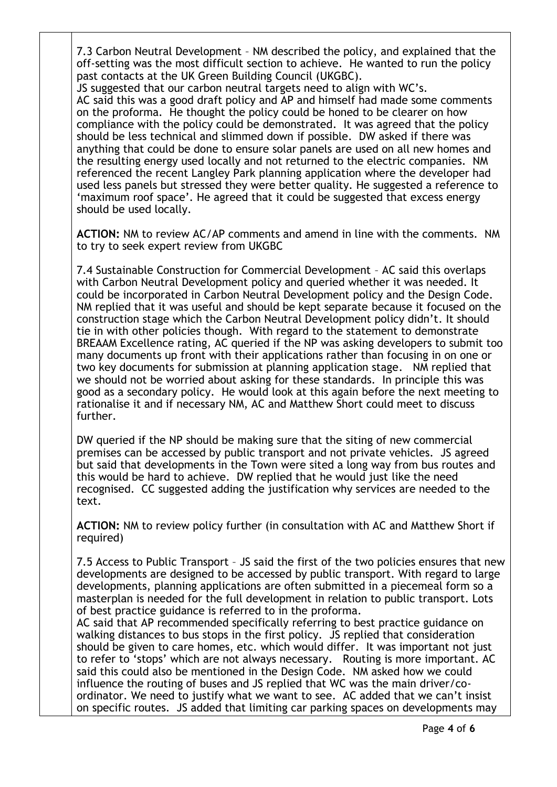7.3 Carbon Neutral Development – NM described the policy, and explained that the off-setting was the most difficult section to achieve. He wanted to run the policy past contacts at the UK Green Building Council (UKGBC).

JS suggested that our carbon neutral targets need to align with WC's. AC said this was a good draft policy and AP and himself had made some comments on the proforma. He thought the policy could be honed to be clearer on how compliance with the policy could be demonstrated. It was agreed that the policy should be less technical and slimmed down if possible. DW asked if there was anything that could be done to ensure solar panels are used on all new homes and the resulting energy used locally and not returned to the electric companies. NM referenced the recent Langley Park planning application where the developer had used less panels but stressed they were better quality. He suggested a reference to 'maximum roof space'. He agreed that it could be suggested that excess energy should be used locally.

**ACTION:** NM to review AC/AP comments and amend in line with the comments. NM to try to seek expert review from UKGBC

7.4 Sustainable Construction for Commercial Development – AC said this overlaps with Carbon Neutral Development policy and queried whether it was needed. It could be incorporated in Carbon Neutral Development policy and the Design Code. NM replied that it was useful and should be kept separate because it focused on the construction stage which the Carbon Neutral Development policy didn't. It should tie in with other policies though. With regard to the statement to demonstrate BREAAM Excellence rating, AC queried if the NP was asking developers to submit too many documents up front with their applications rather than focusing in on one or two key documents for submission at planning application stage. NM replied that we should not be worried about asking for these standards. In principle this was good as a secondary policy. He would look at this again before the next meeting to rationalise it and if necessary NM, AC and Matthew Short could meet to discuss further.

DW queried if the NP should be making sure that the siting of new commercial premises can be accessed by public transport and not private vehicles. JS agreed but said that developments in the Town were sited a long way from bus routes and this would be hard to achieve. DW replied that he would just like the need recognised. CC suggested adding the justification why services are needed to the text.

**ACTION:** NM to review policy further (in consultation with AC and Matthew Short if required)

7.5 Access to Public Transport – JS said the first of the two policies ensures that new developments are designed to be accessed by public transport. With regard to large developments, planning applications are often submitted in a piecemeal form so a masterplan is needed for the full development in relation to public transport. Lots of best practice guidance is referred to in the proforma.

AC said that AP recommended specifically referring to best practice guidance on walking distances to bus stops in the first policy. JS replied that consideration should be given to care homes, etc. which would differ. It was important not just to refer to 'stops' which are not always necessary. Routing is more important. AC said this could also be mentioned in the Design Code. NM asked how we could influence the routing of buses and JS replied that WC was the main driver/coordinator. We need to justify what we want to see. AC added that we can't insist on specific routes. JS added that limiting car parking spaces on developments may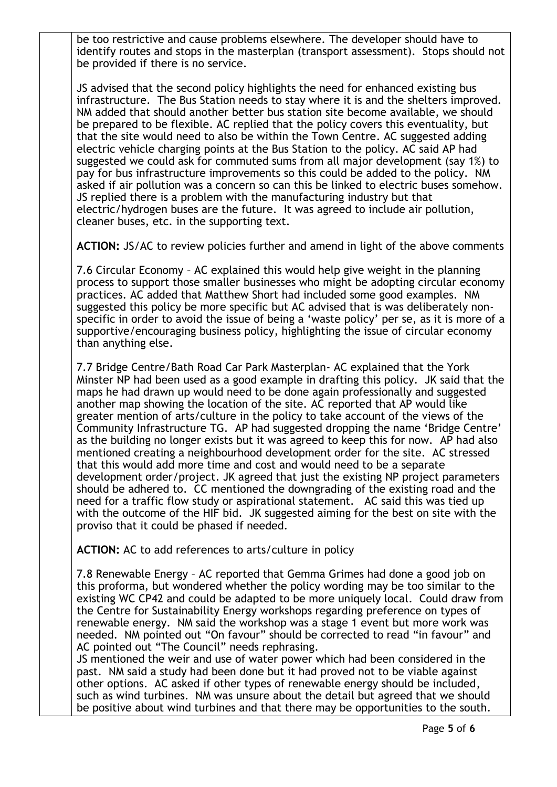be too restrictive and cause problems elsewhere. The developer should have to identify routes and stops in the masterplan (transport assessment). Stops should not be provided if there is no service.

JS advised that the second policy highlights the need for enhanced existing bus infrastructure. The Bus Station needs to stay where it is and the shelters improved. NM added that should another better bus station site become available, we should be prepared to be flexible. AC replied that the policy covers this eventuality, but that the site would need to also be within the Town Centre. AC suggested adding electric vehicle charging points at the Bus Station to the policy. AC said AP had suggested we could ask for commuted sums from all major development (say 1%) to pay for bus infrastructure improvements so this could be added to the policy. NM asked if air pollution was a concern so can this be linked to electric buses somehow. JS replied there is a problem with the manufacturing industry but that electric/hydrogen buses are the future. It was agreed to include air pollution, cleaner buses, etc. in the supporting text.

**ACTION:** JS/AC to review policies further and amend in light of the above comments

7.6 Circular Economy – AC explained this would help give weight in the planning process to support those smaller businesses who might be adopting circular economy practices. AC added that Matthew Short had included some good examples. NM suggested this policy be more specific but AC advised that is was deliberately nonspecific in order to avoid the issue of being a 'waste policy' per se, as it is more of a supportive/encouraging business policy, highlighting the issue of circular economy than anything else.

7.7 Bridge Centre/Bath Road Car Park Masterplan- AC explained that the York Minster NP had been used as a good example in drafting this policy. JK said that the maps he had drawn up would need to be done again professionally and suggested another map showing the location of the site. AC reported that AP would like greater mention of arts/culture in the policy to take account of the views of the Community Infrastructure TG. AP had suggested dropping the name 'Bridge Centre' as the building no longer exists but it was agreed to keep this for now. AP had also mentioned creating a neighbourhood development order for the site. AC stressed that this would add more time and cost and would need to be a separate development order/project. JK agreed that just the existing NP project parameters should be adhered to. CC mentioned the downgrading of the existing road and the need for a traffic flow study or aspirational statement. AC said this was tied up with the outcome of the HIF bid. JK suggested aiming for the best on site with the proviso that it could be phased if needed.

**ACTION:** AC to add references to arts/culture in policy

7.8 Renewable Energy – AC reported that Gemma Grimes had done a good job on this proforma, but wondered whether the policy wording may be too similar to the existing WC CP42 and could be adapted to be more uniquely local. Could draw from the Centre for Sustainability Energy workshops regarding preference on types of renewable energy. NM said the workshop was a stage 1 event but more work was needed. NM pointed out "On favour" should be corrected to read "in favour" and AC pointed out "The Council" needs rephrasing.

JS mentioned the weir and use of water power which had been considered in the past. NM said a study had been done but it had proved not to be viable against other options. AC asked if other types of renewable energy should be included, such as wind turbines. NM was unsure about the detail but agreed that we should be positive about wind turbines and that there may be opportunities to the south.